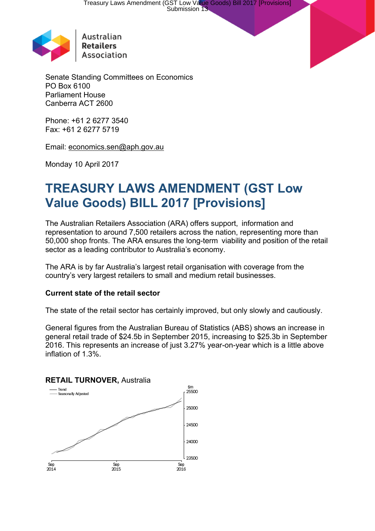

Australian **Retailers** Association

Senate Standing Committees on Economics PO Box 6100 Parliament House Canberra ACT 2600

Phone: +61 2 6277 3540 Fax: +61 2 6277 5719

Email: [economics.sen@aph.gov.au](mailto:economics.sen@aph.gov.au)

Monday 10 April 2017

# **TREASURY LAWS AMENDMENT (GST Low Value Goods) BILL 2017 [Provisions]**

The Australian Retailers Association (ARA) offers support, information and representation to around 7,500 retailers across the nation, representing more than 50,000 shop fronts. The ARA ensures the long-term viability and position of the retail sector as a leading contributor to Australia's economy.

The ARA is by far Australia's largest retail organisation with coverage from the country's very largest retailers to small and medium retail businesses.

# **Current state of the retail sector**

The state of the retail sector has certainly improved, but only slowly and cautiously.

General figures from the Australian Bureau of Statistics (ABS) shows an increase in general retail trade of \$24.5b in September 2015, increasing to \$25.3b in September 2016. This represents an increase of just 3.27% year-on-year which is a little above inflation of 1.3%.

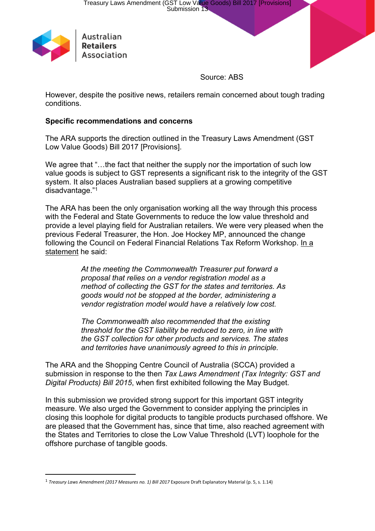

Source: ABS

However, despite the positive news, retailers remain concerned about tough trading conditions.

#### **Specific recommendations and concerns**

The ARA supports the direction outlined in the Treasury Laws Amendment (GST Low Value Goods) Bill 2017 [Provisions].

We agree that "...the fact that neither the supply nor the importation of such low value goods is subject to GST represents a significant risk to the integrity of the GST system. It also places Australian based suppliers at a growing competitive disadvantage."<sup>1</sup>

The ARA has been the only organisation working all the way through this process with the Federal and State Governments to reduce the low value threshold and provide a level playing field for Australian retailers. We were very pleased when the previous Federal Treasurer, the Hon. Joe Hockey MP, announced the change following the Council on Federal Financial Relations Tax Reform Workshop. [In](http://jbh.ministers.treasury.gov.au/media-release/075-2015/) a [statement](http://jbh.ministers.treasury.gov.au/media-release/075-2015/) he said:

> *At the meeting the Commonwealth Treasurer put forward a proposal that relies on a vendor registration model as a method of collecting the GST for the states and territories. As goods would not be stopped at the border, administering a vendor registration model would have a relatively low cost.*

*The Commonwealth also recommended that the existing threshold for the GST liability be reduced to zero, in line with the GST collection for other products and services. The states and territories have unanimously agreed to this in principle.*

The ARA and the Shopping Centre Council of Australia (SCCA) provided a submission in response to the then *Tax Laws Amendment (Tax Integrity: GST and Digital Products) Bill 2015*, when first exhibited following the May Budget.

In this submission we provided strong support for this important GST integrity measure. We also urged the Government to consider applying the principles in closing this loophole for digital products to tangible products purchased offshore. We are pleased that the Government has, since that time, also reached agreement with the States and Territories to close the Low Value Threshold (LVT) loophole for the offshore purchase of tangible goods.

<sup>1</sup> *Treasury Laws Amendment (2017 Measures no. 1) Bill 2017* Exposure Draft Explanatory Material (p. 5, s. 1.14)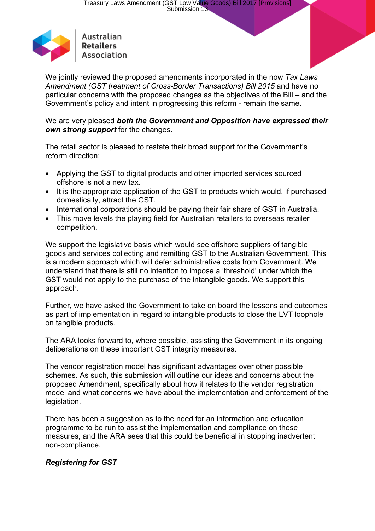

We jointly reviewed the proposed amendments incorporated in the now *Tax Laws Amendment (GST treatment of Cross-Border Transactions) Bill 2015* and have no particular concerns with the proposed changes as the objectives of the Bill – and the Government's policy and intent in progressing this reform - remain the same.

We are very pleased *both the Government and Opposition have expressed their own strong support* for the changes.

The retail sector is pleased to restate their broad support for the Government's reform direction:

- Applying the GST to digital products and other imported services sourced offshore is not a new tax.
- It is the appropriate application of the GST to products which would, if purchased domestically, attract the GST.
- International corporations should be paying their fair share of GST in Australia.
- This move levels the playing field for Australian retailers to overseas retailer competition.

We support the legislative basis which would see offshore suppliers of tangible goods and services collecting and remitting GST to the Australian Government. This is a modern approach which will defer administrative costs from Government. We understand that there is still no intention to impose a 'threshold' under which the GST would not apply to the purchase of the intangible goods. We support this approach.

Further, we have asked the Government to take on board the lessons and outcomes as part of implementation in regard to intangible products to close the LVT loophole on tangible products.

The ARA looks forward to, where possible, assisting the Government in its ongoing deliberations on these important GST integrity measures.

The vendor registration model has significant advantages over other possible schemes. As such, this submission will outline our ideas and concerns about the proposed Amendment, specifically about how it relates to the vendor registration model and what concerns we have about the implementation and enforcement of the legislation.

There has been a suggestion as to the need for an information and education programme to be run to assist the implementation and compliance on these measures, and the ARA sees that this could be beneficial in stopping inadvertent non-compliance.

# *Registering for GST*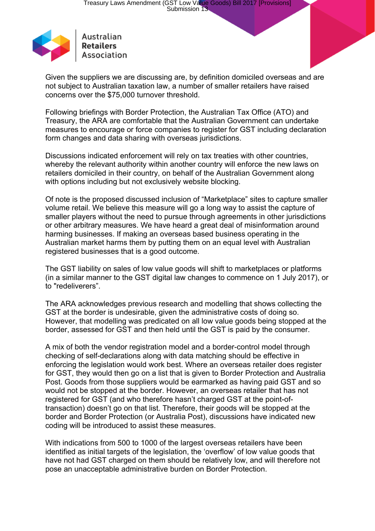

Association

Given the suppliers we are discussing are, by definition domiciled overseas and are not subject to Australian taxation law, a number of smaller retailers have raised concerns over the \$75,000 turnover threshold.

Following briefings with Border Protection, the Australian Tax Office (ATO) and Treasury, the ARA are comfortable that the Australian Government can undertake measures to encourage or force companies to register for GST including declaration form changes and data sharing with overseas jurisdictions.

Discussions indicated enforcement will rely on tax treaties with other countries, whereby the relevant authority within another country will enforce the new laws on retailers domiciled in their country, on behalf of the Australian Government along with options including but not exclusively website blocking.

Of note is the proposed discussed inclusion of "Marketplace" sites to capture smaller volume retail. We believe this measure will go a long way to assist the capture of smaller players without the need to pursue through agreements in other jurisdictions or other arbitrary measures. We have heard a great deal of misinformation around harming businesses. If making an overseas based business operating in the Australian market harms them by putting them on an equal level with Australian registered businesses that is a good outcome.

The GST liability on sales of low value goods will shift to marketplaces or platforms (in a similar manner to the GST digital law changes to commence on 1 July 2017), or to "redeliverers".

The ARA acknowledges previous research and modelling that shows collecting the GST at the border is undesirable, given the administrative costs of doing so. However, that modelling was predicated on all low value goods being stopped at the border, assessed for GST and then held until the GST is paid by the consumer.

A mix of both the vendor registration model and a border-control model through checking of self-declarations along with data matching should be effective in enforcing the legislation would work best. Where an overseas retailer does register for GST, they would then go on a list that is given to Border Protection and Australia Post. Goods from those suppliers would be earmarked as having paid GST and so would not be stopped at the border. However, an overseas retailer that has not registered for GST (and who therefore hasn't charged GST at the point-oftransaction) doesn't go on that list. Therefore, their goods will be stopped at the border and Border Protection (or Australia Post), discussions have indicated new coding will be introduced to assist these measures.

With indications from 500 to 1000 of the largest overseas retailers have been identified as initial targets of the legislation, the 'overflow' of low value goods that have not had GST charged on them should be relatively low, and will therefore not pose an unacceptable administrative burden on Border Protection.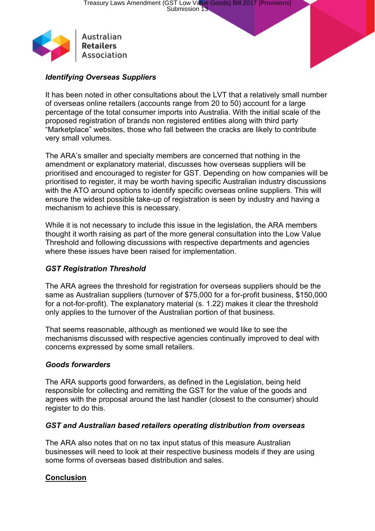

# *Identifying Overseas Suppliers*

It has been noted in other consultations about the LVT that a relatively small number of overseas online retailers (accounts range from 20 to 50) account for a large percentage of the total consumer imports into Australia. With the initial scale of the proposed registration of brands non registered entities along with third party "Marketplace" websites, those who fall between the cracks are likely to contribute very small volumes.

The ARA's smaller and specialty members are concerned that nothing in the amendment or explanatory material, discusses how overseas suppliers will be prioritised and encouraged to register for GST. Depending on how companies will be prioritised to register, it may be worth having specific Australian industry discussions with the ATO around options to identify specific overseas online suppliers. This will ensure the widest possible take-up of registration is seen by industry and having a mechanism to achieve this is necessary.

While it is not necessary to include this issue in the legislation, the ARA members thought it worth raising as part of the more general consultation into the Low Value Threshold and following discussions with respective departments and agencies where these issues have been raised for implementation.

#### *GST Registration Threshold*

The ARA agrees the threshold for registration for overseas suppliers should be the same as Australian suppliers (turnover of \$75,000 for a for-profit business, \$150,000 for a not-for-profit). The explanatory material (s. 1.22) makes it clear the threshold only applies to the turnover of the Australian portion of that business.

That seems reasonable, although as mentioned we would like to see the mechanisms discussed with respective agencies continually improved to deal with concerns expressed by some small retailers.

#### *Goods forwarders*

The ARA supports good forwarders, as defined in the Legislation, being held responsible for collecting and remitting the GST for the value of the goods and agrees with the proposal around the last handler (closest to the consumer) should register to do this.

#### *GST and Australian based retailers operating distribution from overseas*

The ARA also notes that on no tax input status of this measure Australian businesses will need to look at their respective business models if they are using some forms of overseas based distribution and sales.

# **Conclusion**